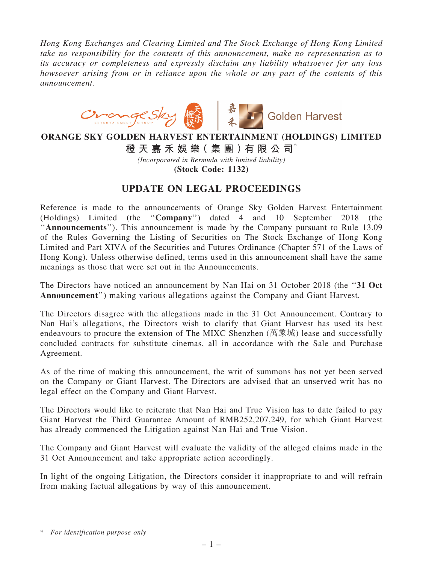*Hong Kong Exchanges and Clearing Limited and The Stock Exchange of Hong Kong Limited take no responsibility for the contents of this announcement, make no representation as to its accuracy or completeness and expressly disclaim any liability whatsoever for any loss howsoever arising from or in reliance upon the whole or any part of the contents of this announcement.*



## ORANGE SKY GOLDEN HARVEST ENTERTAINMENT (HOLDINGS) LIMITED

橙 天 嘉 禾 娛 樂( 集 團 )有 限 公 司\*

*(Incorporated in Bermuda with limited liability)*

(Stock Code: 1132)

## UPDATE ON LEGAL PROCEEDINGS

Reference is made to the announcements of Orange Sky Golden Harvest Entertainment (Holdings) Limited (the ''Company'') dated 4 and 10 September 2018 (the ''Announcements''). This announcement is made by the Company pursuant to Rule 13.09 of the Rules Governing the Listing of Securities on The Stock Exchange of Hong Kong Limited and Part XIVA of the Securities and Futures Ordinance (Chapter 571 of the Laws of Hong Kong). Unless otherwise defined, terms used in this announcement shall have the same meanings as those that were set out in the Announcements.

The Directors have noticed an announcement by Nan Hai on 31 October 2018 (the "31 Oct Announcement'') making various allegations against the Company and Giant Harvest.

The Directors disagree with the allegations made in the 31 Oct Announcement. Contrary to Nan Hai's allegations, the Directors wish to clarify that Giant Harvest has used its best endeavours to procure the extension of The MIXC Shenzhen (萬象城) lease and successfully concluded contracts for substitute cinemas, all in accordance with the Sale and Purchase Agreement.

As of the time of making this announcement, the writ of summons has not yet been served on the Company or Giant Harvest. The Directors are advised that an unserved writ has no legal effect on the Company and Giant Harvest.

The Directors would like to reiterate that Nan Hai and True Vision has to date failed to pay Giant Harvest the Third Guarantee Amount of RMB252,207,249, for which Giant Harvest has already commenced the Litigation against Nan Hai and True Vision.

The Company and Giant Harvest will evaluate the validity of the alleged claims made in the 31 Oct Announcement and take appropriate action accordingly.

In light of the ongoing Litigation, the Directors consider it inappropriate to and will refrain from making factual allegations by way of this announcement.

<sup>\*</sup> *For identification purpose only*